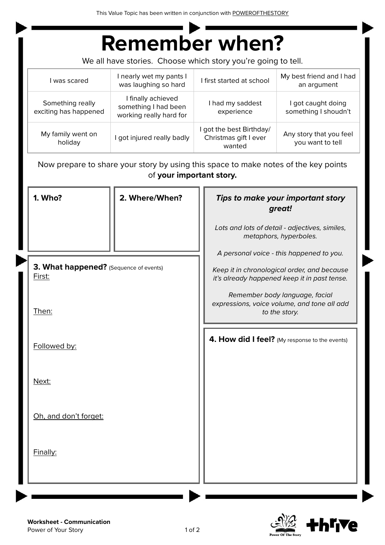This Value Topic has been written in conjunction with [POWEROFTHESTORY](https://www.powerofthestory.co.nz/)

|                                           | <b>Remember when?</b>                                                                                           |                                                             |                                                                          |
|-------------------------------------------|-----------------------------------------------------------------------------------------------------------------|-------------------------------------------------------------|--------------------------------------------------------------------------|
|                                           | We all have stories. Choose which story you're going to tell.                                                   |                                                             |                                                                          |
| I was scared                              | I nearly wet my pants I<br>was laughing so hard                                                                 | I first started at school                                   | My best friend and I had<br>an argument                                  |
| Something really<br>exciting has happened | I finally achieved<br>something I had been<br>working really hard for                                           | I had my saddest<br>experience                              | I got caught doing<br>something I shoudn't                               |
| My family went on<br>holiday              | I got injured really badly                                                                                      | I got the best Birthday/<br>Christmas gift I ever<br>wanted | Any story that you feel<br>you want to tell                              |
|                                           | Now prepare to share your story by using this space to make notes of the key points<br>of your important story. |                                                             |                                                                          |
| 1. Who?                                   | 2. Where/When?                                                                                                  | Tips to make your important story<br>great!                 |                                                                          |
|                                           |                                                                                                                 |                                                             | Lots and lots of detail - adjectives, similes,<br>metaphors, hyperboles. |

*A personal voice - this happened to you.*

*Keep it in chronological order, and because it's already happened keep it in past tense.*

*Remember body language, facial expressions, voice volume, and tone all add to the story.*

**4. How did I feel?** (My response to the events)

Next:

Followed by:

First:

Then:

Oh, and don't forget:

**3. What happened?** (Sequence of events)

Finally: